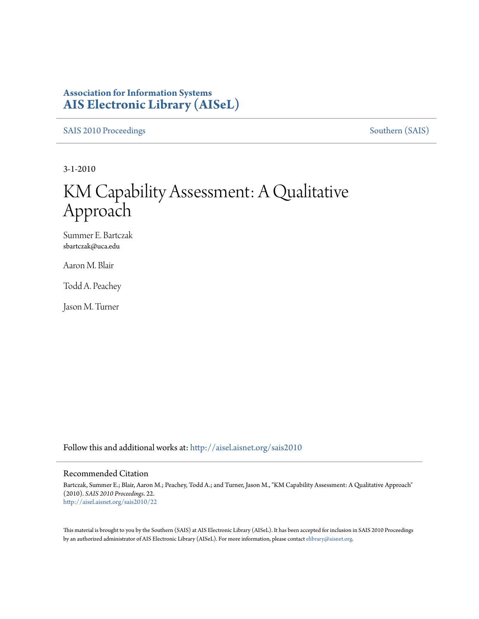### **Association for Information Systems [AIS Electronic Library \(AISeL\)](http://aisel.aisnet.org?utm_source=aisel.aisnet.org%2Fsais2010%2F22&utm_medium=PDF&utm_campaign=PDFCoverPages)**

[SAIS 2010 Proceedings](http://aisel.aisnet.org/sais2010?utm_source=aisel.aisnet.org%2Fsais2010%2F22&utm_medium=PDF&utm_campaign=PDFCoverPages) [Southern \(SAIS\)](http://aisel.aisnet.org/sais?utm_source=aisel.aisnet.org%2Fsais2010%2F22&utm_medium=PDF&utm_campaign=PDFCoverPages)

3-1-2010

# KM Capability Assessment: A Qualitative Approach

Summer E. Bartczak sbartczak@uca.edu

Aaron M. Blair

Todd A. Peachey

Jason M. Turner

Follow this and additional works at: [http://aisel.aisnet.org/sais2010](http://aisel.aisnet.org/sais2010?utm_source=aisel.aisnet.org%2Fsais2010%2F22&utm_medium=PDF&utm_campaign=PDFCoverPages)

#### Recommended Citation

Bartczak, Summer E.; Blair, Aaron M.; Peachey, Todd A.; and Turner, Jason M., "KM Capability Assessment: A Qualitative Approach" (2010). *SAIS 2010 Proceedings*. 22. [http://aisel.aisnet.org/sais2010/22](http://aisel.aisnet.org/sais2010/22?utm_source=aisel.aisnet.org%2Fsais2010%2F22&utm_medium=PDF&utm_campaign=PDFCoverPages)

This material is brought to you by the Southern (SAIS) at AIS Electronic Library (AISeL). It has been accepted for inclusion in SAIS 2010 Proceedings by an authorized administrator of AIS Electronic Library (AISeL). For more information, please contact [elibrary@aisnet.org](mailto:elibrary@aisnet.org%3E).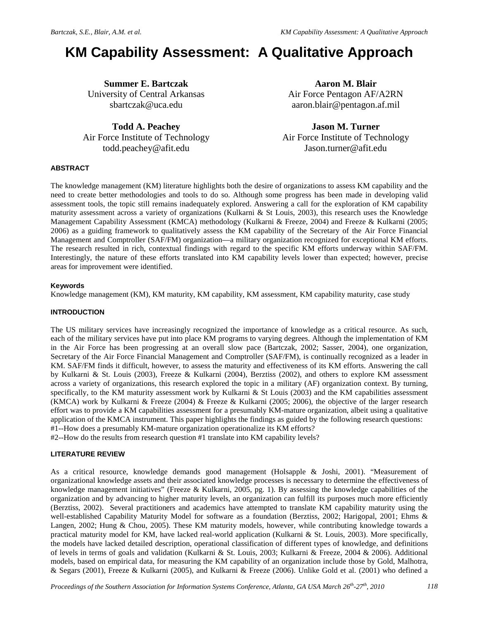## **KM Capability Assessment: A Qualitative Approach**

**Summer E. Bartczak** University of Central Arkansas [sbartczak@uca.edu](mailto:sbartczak@uca.edu) 

**Todd A. Peachey** Air Force Institute of Technology [todd.peachey@afit.edu](mailto:todd.peachey@afit.edu)

**Aaron M. Blair** Air Force Pentagon AF/A2RN [aaron.blair@pentagon.af.mil](mailto:aaron.blair@pentagon.af.mil)

**Jason M. Turner** Air Force Institute of Technology [Jason.turner@afit.edu](mailto:Jason.turner@afit.edu)

#### **ABSTRACT**

The knowledge management (KM) literature highlights both the desire of organizations to assess KM capability and the need to create better methodologies and tools to do so. Although some progress has been made in developing valid assessment tools, the topic still remains inadequately explored. Answering a call for the exploration of KM capability maturity assessment across a variety of organizations (Kulkarni & St Louis, 2003), this research uses the Knowledge Management Capability Assessment (KMCA) methodology (Kulkarni & Freeze, 2004) and Freeze & Kulkarni (2005; 2006) as a guiding framework to qualitatively assess the KM capability of the Secretary of the Air Force Financial Management and Comptroller (SAF/FM) organization—a military organization recognized for exceptional KM efforts. The research resulted in rich, contextual findings with regard to the specific KM efforts underway within SAF/FM. Interestingly, the nature of these efforts translated into KM capability levels lower than expected; however, precise areas for improvement were identified.

#### **Keywords**

Knowledge management (KM), KM maturity, KM capability, KM assessment, KM capability maturity, case study

#### **INTRODUCTION**

The US military services have increasingly recognized the importance of knowledge as a critical resource. As such, each of the military services have put into place KM programs to varying degrees. Although the implementation of KM in the Air Force has been progressing at an overall slow pace (Bartczak, 2002; Sasser, 2004), one organization, Secretary of the Air Force Financial Management and Comptroller (SAF/FM), is continually recognized as a leader in KM. SAF/FM finds it difficult, however, to assess the maturity and effectiveness of its KM efforts. Answering the call by Kulkarni & St. Louis (2003), Freeze & Kulkarni (2004), Berztiss (2002), and others to explore KM assessment across a variety of organizations, this research explored the topic in a military (AF) organization context. By turning, specifically, to the KM maturity assessment work by Kulkarni & St Louis (2003) and the KM capabilities assessment (KMCA) work by Kulkarni & Freeze (2004) & Freeze & Kulkarni (2005; 2006), the objective of the larger research effort was to provide a KM capabilities assessment for a presumably KM-mature organization, albeit using a qualitative application of the KMCA instrument. This paper highlights the findings as guided by the following research questions: #1--How does a presumably KM-mature organization operationalize its KM efforts?

#2--How do the results from research question #1 translate into KM capability levels?

#### **LITERATURE REVIEW**

As a critical resource, knowledge demands good management (Holsapple & Joshi, 2001). "Measurement of organizational knowledge assets and their associated knowledge processes is necessary to determine the effectiveness of knowledge management initiatives" (Freeze & Kulkarni, 2005, pg. 1). By assessing the knowledge capabilities of the organization and by advancing to higher maturity levels, an organization can fulfill its purposes much more efficiently (Berztiss, 2002). Several practitioners and academics have attempted to translate KM capability maturity using the well-established Capability Maturity Model for software as a foundation (Berztiss, 2002; Harigopal, 2001; Ehms & Langen, 2002; Hung & Chou, 2005). These KM maturity models, however, while contributing knowledge towards a practical maturity model for KM, have lacked real-world application (Kulkarni & St. Louis, 2003). More specifically, the models have lacked detailed description, operational classification of different types of knowledge, and definitions of levels in terms of goals and validation (Kulkarni & St. Louis, 2003; Kulkarni & Freeze, 2004 & 2006). Additional models, based on empirical data, for measuring the KM capability of an organization include those by Gold, Malhotra, & Segars (2001), Freeze & Kulkarni (2005), and Kulkarni & Freeze (2006). Unlike Gold et al. (2001) who defined a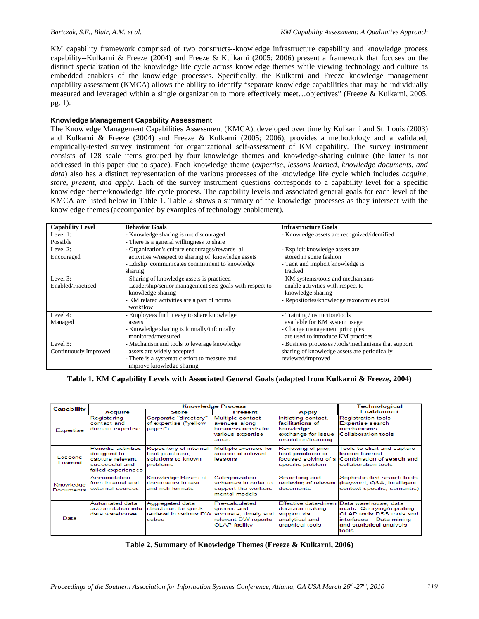KM capability framework comprised of two constructs--knowledge infrastructure capability and knowledge process capability--Kulkarni & Freeze (2004) and Freeze & Kulkarni (2005; 2006) present a framework that focuses on the distinct specialization of the knowledge life cycle across knowledge themes while viewing technology and culture as embedded enablers of the knowledge processes. Specifically, the Kulkarni and Freeze knowledge management capability assessment (KMCA) allows the ability to identify "separate knowledge capabilities that may be individually measured and leveraged within a single organization to more effectively meet...objectives" (Freeze & Kulkarni, 2005, pg. 1).

#### **Knowledge Management Capability Assessment**

The Knowledge Management Capabilities Assessment (KMCA), developed over time by Kulkarni and St. Louis (2003) and Kulkarni & Freeze (2004) and Freeze & Kulkarni (2005; 2006), provides a methodology and a validated, empirically-tested survey instrument for organizational self-assessment of KM capability. The survey instrument consists of 128 scale items grouped by four knowledge themes and knowledge-sharing culture (the latter is not addressed in this paper due to space). Each knowledge theme (*expertise, lessons learned, knowledge documents, and data*) also has a distinct representation of the various processes of the knowledge life cycle which includes *acquire, store, present, and apply*. Each of the survey instrument questions corresponds to a capability level for a specific knowledge theme/knowledge life cycle process*.* The capability levels and associated general goals for each level of the KMCA are listed below in Table 1. Table 2 shows a summary of the knowledge processes as they intersect with the knowledge themes (accompanied by examples of technology enablement).

| <b>Capability Level</b> | <b>Behavior Goals</b>                                                              | <b>Infrastructure Goals</b>                         |  |  |
|-------------------------|------------------------------------------------------------------------------------|-----------------------------------------------------|--|--|
| Level $1$ :             | - Knowledge sharing is not discouraged                                             | - Knowledge assets are recognized/identified        |  |  |
| Possible                | - There is a general willingness to share                                          |                                                     |  |  |
| Level 2:                | - Organization's culture encourages/rewards all<br>- Explicit knowledge assets are |                                                     |  |  |
| Encouraged              | activities w/respect to sharing of knowledge assets                                | stored in some fashion                              |  |  |
|                         | - Ldrshp communicates commitment to knowledge                                      | - Tacit and implicit knowledge is                   |  |  |
|                         | sharing                                                                            | tracked                                             |  |  |
| Level 3:                | - Sharing of knowledge assets is practiced                                         | - KM systems/tools and mechanisms                   |  |  |
| Enabled/Practiced       | - Leadership/senior management sets goals with respect to                          | enable activities with respect to                   |  |  |
|                         | knowledge sharing                                                                  | knowledge sharing                                   |  |  |
|                         | - KM related activities are a part of normal                                       | - Repositories/knowledge taxonomies exist           |  |  |
|                         | workflow                                                                           |                                                     |  |  |
| Level 4:                | - Employees find it easy to share knowledge                                        | - Training /instruction/tools                       |  |  |
| Managed                 | assets                                                                             | available for KM system usage                       |  |  |
|                         | - Knowledge sharing is formally/informally                                         | - Change management principles                      |  |  |
|                         | monitored/measured                                                                 | are used to introduce KM practices                  |  |  |
| Level 5:                | - Mechanism and tools to leverage knowledge                                        | - Business processes /tools/mechanisms that support |  |  |
| Continuously Improved   | assets are widely accepted                                                         | sharing of knowledge assets are periodically        |  |  |
|                         | - There is a systematic effort to measure and                                      | reviewed/improved                                   |  |  |
|                         | improve knowledge sharing                                                          |                                                     |  |  |

#### **Table 1. KM Capability Levels with Associated General Goals (adapted from Kulkarni & Freeze, 2004)**

| <b>Capability</b>             |                                                                                                | Technological                                                               |                                                                                                       |                                                                                                   |                                                                                                                                                                       |
|-------------------------------|------------------------------------------------------------------------------------------------|-----------------------------------------------------------------------------|-------------------------------------------------------------------------------------------------------|---------------------------------------------------------------------------------------------------|-----------------------------------------------------------------------------------------------------------------------------------------------------------------------|
|                               | Acquire                                                                                        | <b>Store</b>                                                                | Present                                                                                               | Apply                                                                                             | <b>Enablement</b>                                                                                                                                                     |
| Expertise                     | Registering<br>contact and<br>domain expertise                                                 | Corporate "directory"<br>of expertise ("yellow<br>pages")                   | Multiple contact<br>avenues along<br>business needs for<br>various expertise<br>areas                 | Initiating contact,<br>facilitations of<br>knowledge<br>exchange for issue<br>resolution/learning | <b>Registration tools</b><br><b>Expertise search</b><br>mechanisms<br>Collaboration tools                                                                             |
| Lessons<br>Learned            | Periodic activities<br>designed to<br>capture relevant<br>successful and<br>failed experiences | Repository of internal<br>best practices,<br>solutions to known<br>problems | Multiple avenues for<br>access of relevant<br>lessons                                                 | Reviewing of prior<br>best practices or<br>specific problem                                       | Tools to elicit and capture<br>lesson learned<br>focused solving of a Combination of search and<br>collaboration tools                                                |
| Knowledge<br><b>Documents</b> | Accumulation<br>from internal and<br>external sources                                          | Knowledge Bases of<br>documents in text<br>and rich formats                 | Categorization<br>schemes in order to<br>support the workers<br>mental models                         | Searching and<br>documents                                                                        | Sophisticated search tools<br>retrieving of relevant (keyword, Q&A, intelligent<br>context specific, semantic)                                                        |
| Data                          | Automated data<br>accumulation into<br>data warehouse                                          | Aggregated data<br>structures for quick<br>retrieval in various DW<br>cubes | Pre-calculated<br>queries and<br>accurate, timely and<br>relevant DW reports,<br><b>OLAP</b> facility | decision-making<br>support via<br>analytical and<br>graphical tools                               | Effective data-driven Data warehouse, data<br>marts Querying/reporting.<br>OLAP tools DSS tools and<br>Data mining<br>interfaces<br>and statistical analysis<br>tools |

**Table 2. Summary of Knowledge Themes (Freeze & Kulkarni, 2006)**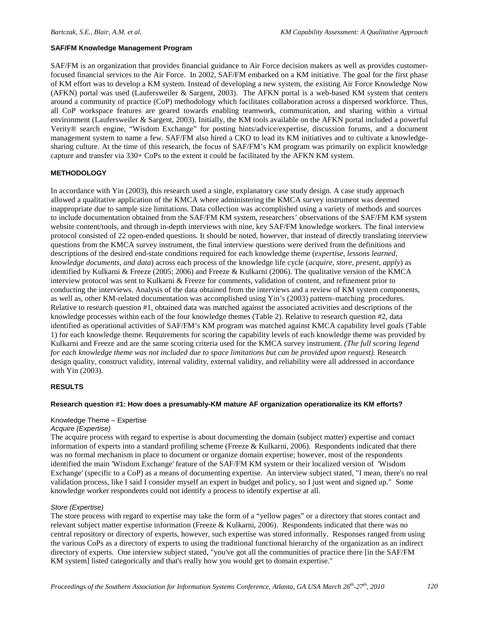#### **SAF/FM Knowledge Management Program**

SAF/FM is an organization that provides financial guidance to Air Force decision makers as well as provides customerfocused financial services to the Air Force. In 2002, SAF/FM embarked on a KM initiative. The goal for the first phase of KM effort was to develop a KM system. Instead of developing a new system, the existing Air Force Knowledge Now (AFKN) portal was used (Laufersweiler & Sargent, 2003). The AFKN portal is a web-based KM system that centers around a community of practice (CoP) methodology which facilitates collaboration across a dispersed workforce. Thus, all CoP workspace features are geared towards enabling teamwork, communication, and sharing within a virtual environment (Laufersweiler & Sargent, 2003). Initially, the KM tools available on the AFKN portal included a powerful Verity® search engine, "Wisdom Exchange" for posting hints/advice/expertise, discussion forums, and a document management system to name a few. SAF/FM also hired a CKO to lead its KM initiatives and to cultivate a knowledgesharing culture. At the time of this research, the focus of SAF/FM's KM program was primarily on explicit knowledge capture and transfer via 330+ CoPs to the extent it could be facilitated by the AFKN KM system.

#### **METHODOLOGY**

In accordance with Yin (2003), this research used a single, explanatory case study design. A case study approach allowed a qualitative application of the KMCA where administering the KMCA survey instrument was deemed inappropriate due to sample size limitations. Data collection was accomplished using a variety of methods and sources to include documentation obtained from the SAF/FM KM system, researchers' observations of the SAF/FM KM system website content/tools, and through in-depth interviews with nine, key SAF/FM knowledge workers. The final interview protocol consisted of 22 open-ended questions. It should be noted, however, that instead of directly translating interview questions from the KMCA survey instrument, the final interview questions were derived from the definitions and descriptions of the desired end-state conditions required for each knowledge theme (*expertise, lessons learned, knowledge documents, and data*) across each process of the knowledge life cycle (*acquire, store, present, apply*) as identified by Kulkarni & Freeze (2005; 2006) and Freeze & Kulkarni (2006). The qualitative version of the KMCA interview protocol was sent to Kulkarni & Freeze for comments, validation of content, and refinement prior to conducting the interviews. Analysis of the data obtained from the interviews and a review of KM system components, as well as, other KM-related documentation was accomplished using Yin's (2003) pattern–matching procedures. Relative to research question #1, obtained data was matched against the associated activities and descriptions of the knowledge processes within each of the four knowledge themes (Table 2). Relative to research question #2, data identified as operational activities of SAF/FM's KM program was matched against KMCA capability level goals (Table 1) for each knowledge theme. Requirements for scoring the capability levels of each knowledge theme was provided by Kulkarni and Freeze and are the same scoring criteria used for the KMCA survey instrument. *(The full scoring legend for each knowledge theme was not included due to space limitations but can be provided upon request).* Research design quality, construct validity, internal validity, external validity, and reliability were all addressed in accordance with Yin (2003).

#### **RESULTS**

#### **Research question #1: How does a presumably-KM mature AF organization operationalize its KM efforts?**

#### Knowledge Theme – Expertise

#### *Acquire (Expertise)*

The acquire process with regard to expertise is about documenting the domain (subject matter) expertise and contact information of experts into a standard profiling scheme (Freeze & Kulkarni, 2006). Respondents indicated that there was no formal mechanism in place to document or organize domain expertise; however, most of the respondents identified the main 'Wisdom Exchange' feature of the SAF/FM KM system or their localized version of 'Wisdom Exchange' (specific to a CoP) as a means of documenting expertise. An interview subject stated, "I mean, there's no real validation process, like I said I consider myself an expert in budget and policy, so I just went and signed up." Some knowledge worker respondents could not identify a process to identify expertise at all.

#### *Store (Expertise)*

The store process with regard to expertise may take the form of a "yellow pages" or a directory that stores contact and relevant subject matter expertise information (Freeze & Kulkarni, 2006). Respondents indicated that there was no central repository or directory of experts, however, such expertise was stored informally. Responses ranged from using the various CoPs as a directory of experts to using the traditional functional hierarchy of the organization as an indirect directory of experts. One interview subject stated, "you've got all the communities of practice there [in the SAF/FM KM system] listed categorically and that's really how you would get to domain expertise."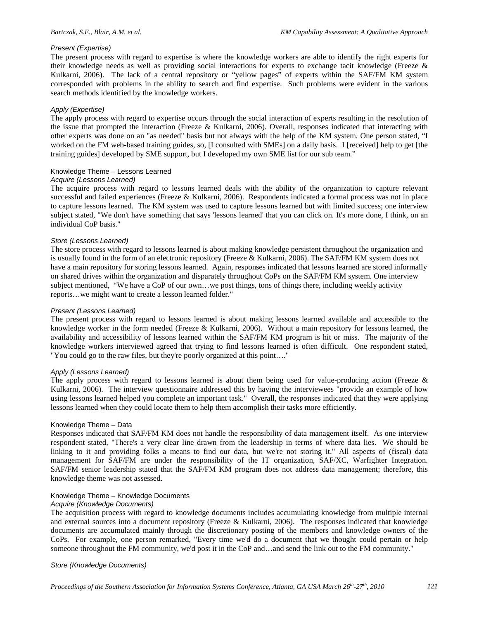#### *Present (Expertise)*

The present process with regard to expertise is where the knowledge workers are able to identify the right experts for their knowledge needs as well as providing social interactions for experts to exchange tacit knowledge (Freeze & Kulkarni, 2006). The lack of a central repository or "yellow pages" of experts within the SAF/FM KM system corresponded with problems in the ability to search and find expertise. Such problems were evident in the various search methods identified by the knowledge workers.

#### *Apply (Expertise)*

The apply process with regard to expertise occurs through the social interaction of experts resulting in the resolution of the issue that prompted the interaction (Freeze & Kulkarni, 2006). Overall, responses indicated that interacting with other experts was done on an "as needed" basis but not always with the help of the KM system. One person stated, "I worked on the FM web-based training guides, so, [I consulted with SMEs] on a daily basis. I [received] help to get [the training guides] developed by SME support, but I developed my own SME list for our sub team."

#### Knowledge Theme – Lessons Learned

#### *Acquire (Lessons Learned)*

The acquire process with regard to lessons learned deals with the ability of the organization to capture relevant successful and failed experiences (Freeze & Kulkarni, 2006). Respondents indicated a formal process was not in place to capture lessons learned. The KM system was used to capture lessons learned but with limited success; one interview subject stated, "We don't have something that says 'lessons learned' that you can click on. It's more done, I think, on an individual CoP basis."

#### *Store (Lessons Learned)*

The store process with regard to lessons learned is about making knowledge persistent throughout the organization and is usually found in the form of an electronic repository (Freeze & Kulkarni, 2006). The SAF/FM KM system does not have a main repository for storing lessons learned. Again, responses indicated that lessons learned are stored informally on shared drives within the organization and disparately throughout CoPs on the SAF/FM KM system. One interview subject mentioned, "We have a CoP of our own…we post things, tons of things there, including weekly activity reports…we might want to create a lesson learned folder."

#### *Present (Lessons Learned)*

The present process with regard to lessons learned is about making lessons learned available and accessible to the knowledge worker in the form needed (Freeze  $&$  Kulkarni, 2006). Without a main repository for lessons learned, the availability and accessibility of lessons learned within the SAF/FM KM program is hit or miss. The majority of the knowledge workers interviewed agreed that trying to find lessons learned is often difficult. One respondent stated, "You could go to the raw files, but they're poorly organized at this point…."

#### *Apply (Lessons Learned)*

The apply process with regard to lessons learned is about them being used for value-producing action (Freeze  $\&$ Kulkarni, 2006). The interview questionnaire addressed this by having the interviewees "provide an example of how using lessons learned helped you complete an important task." Overall, the responses indicated that they were applying lessons learned when they could locate them to help them accomplish their tasks more efficiently.

#### Knowledge Theme – Data

Responses indicated that SAF/FM KM does not handle the responsibility of data management itself. As one interview respondent stated, "There's a very clear line drawn from the leadership in terms of where data lies. We should be linking to it and providing folks a means to find our data, but we're not storing it." All aspects of (fiscal) data management for SAF/FM are under the responsibility of the IT organization, SAF/XC, Warfighter Integration. SAF/FM senior leadership stated that the SAF/FM KM program does not address data management; therefore, this knowledge theme was not assessed.

#### Knowledge Theme – Knowledge Documents

#### *Acquire (Knowledge Documents)*

The acquisition process with regard to knowledge documents includes accumulating knowledge from multiple internal and external sources into a document repository (Freeze & Kulkarni, 2006). The responses indicated that knowledge documents are accumulated mainly through the discretionary posting of the members and knowledge owners of the CoPs. For example, one person remarked, "Every time we'd do a document that we thought could pertain or help someone throughout the FM community, we'd post it in the CoP and…and send the link out to the FM community."

#### *Store (Knowledge Documents)*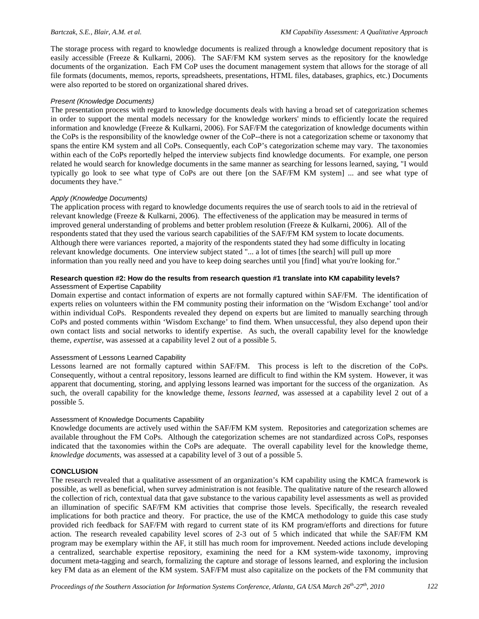The storage process with regard to knowledge documents is realized through a knowledge document repository that is easily accessible (Freeze & Kulkarni, 2006). The SAF/FM KM system serves as the repository for the knowledge documents of the organization. Each FM CoP uses the document management system that allows for the storage of all file formats (documents, memos, reports, spreadsheets, presentations, HTML files, databases, graphics, etc.) Documents were also reported to be stored on organizational shared drives.

#### *Present (Knowledge Documents)*

The presentation process with regard to knowledge documents deals with having a broad set of categorization schemes in order to support the mental models necessary for the knowledge workers' minds to efficiently locate the required information and knowledge (Freeze & Kulkarni, 2006). For SAF/FM the categorization of knowledge documents within the CoPs is the responsibility of the knowledge owner of the CoP--there is not a categorization scheme or taxonomy that spans the entire KM system and all CoPs. Consequently, each CoP's categorization scheme may vary. The taxonomies within each of the CoPs reportedly helped the interview subjects find knowledge documents. For example, one person related he would search for knowledge documents in the same manner as searching for lessons learned, saying, "I would typically go look to see what type of CoPs are out there [on the SAF/FM KM system] ... and see what type of documents they have."

#### *Apply (Knowledge Documents)*

The application process with regard to knowledge documents requires the use of search tools to aid in the retrieval of relevant knowledge (Freeze & Kulkarni, 2006). The effectiveness of the application may be measured in terms of improved general understanding of problems and better problem resolution (Freeze & Kulkarni, 2006). All of the respondents stated that they used the various search capabilities of the SAF/FM KM system to locate documents. Although there were variances reported, a majority of the respondents stated they had some difficulty in locating relevant knowledge documents. One interview subject stated "... a lot of times [the search] will pull up more information than you really need and you have to keep doing searches until you [find] what you're looking for."

#### **Research question #2: How do the results from research question #1 translate into KM capability levels?** Assessment of Expertise Capability

Domain expertise and contact information of experts are not formally captured within SAF/FM. The identification of experts relies on volunteers within the FM community posting their information on the 'Wisdom Exchange' tool and/or within individual CoPs. Respondents revealed they depend on experts but are limited to manually searching through CoPs and posted comments within 'Wisdom Exchange' to find them. When unsuccessful, they also depend upon their own contact lists and social networks to identify expertise. As such, the overall capability level for the knowledge theme, *expertise*, was assessed at a capability level 2 out of a possible 5.

#### Assessment of Lessons Learned Capability

Lessons learned are not formally captured within SAF/FM. This process is left to the discretion of the CoPs. Consequently, without a central repository, lessons learned are difficult to find within the KM system. However, it was apparent that documenting, storing, and applying lessons learned was important for the success of the organization. As such, the overall capability for the knowledge theme, *lessons learned*, was assessed at a capability level 2 out of a possible 5.

#### Assessment of Knowledge Documents Capability

Knowledge documents are actively used within the SAF/FM KM system. Repositories and categorization schemes are available throughout the FM CoPs. Although the categorization schemes are not standardized across CoPs, responses indicated that the taxonomies within the CoPs are adequate. The overall capability level for the knowledge theme, *knowledge documents*, was assessed at a capability level of 3 out of a possible 5.

#### **CONCLUSION**

The research revealed that a qualitative assessment of an organization's KM capability using the KMCA framework is possible, as well as beneficial, when survey administration is not feasible. The qualitative nature of the research allowed the collection of rich, contextual data that gave substance to the various capability level assessments as well as provided an illumination of specific SAF/FM KM activities that comprise those levels. Specifically, the research revealed implications for both practice and theory. For practice, the use of the KMCA methodology to guide this case study provided rich feedback for SAF/FM with regard to current state of its KM program/efforts and directions for future action. The research revealed capability level scores of 2-3 out of 5 which indicated that while the SAF/FM KM program may be exemplary within the AF, it still has much room for improvement. Needed actions include developing a centralized, searchable expertise repository, examining the need for a KM system-wide taxonomy, improving document meta-tagging and search, formalizing the capture and storage of lessons learned, and exploring the inclusion key FM data as an element of the KM system. SAF/FM must also capitalize on the pockets of the FM community that